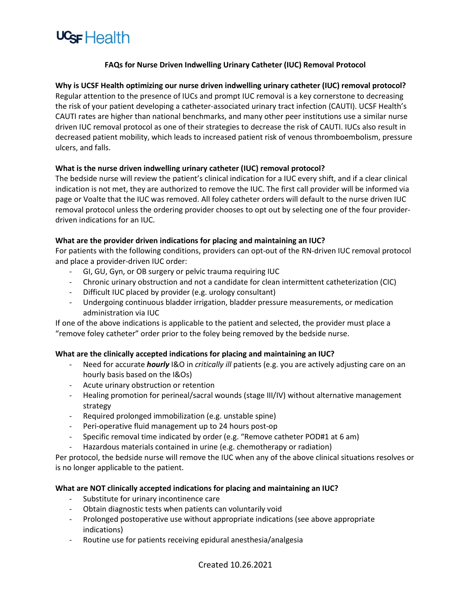

## **FAQs for Nurse Driven Indwelling Urinary Catheter (IUC) Removal Protocol**

**Why is UCSF Health optimizing our nurse driven indwelling urinary catheter (IUC) removal protocol?** Regular attention to the presence of IUCs and prompt IUC removal is a key cornerstone to decreasing the risk of your patient developing a catheter-associated urinary tract infection (CAUTI). UCSF Health's CAUTI rates are higher than national benchmarks, and many other peer institutions use a similar nurse driven IUC removal protocol as one of their strategies to decrease the risk of CAUTI. IUCs also result in decreased patient mobility, which leads to increased patient risk of venous thromboembolism, pressure ulcers, and falls.

## **What is the nurse driven indwelling urinary catheter (IUC) removal protocol?**

The bedside nurse will review the patient's clinical indication for a IUC every shift, and if a clear clinical indication is not met, they are authorized to remove the IUC. The first call provider will be informed via page or Voalte that the IUC was removed. All foley catheter orders will default to the nurse driven IUC removal protocol unless the ordering provider chooses to opt out by selecting one of the four providerdriven indications for an IUC.

### **What are the provider driven indications for placing and maintaining an IUC?**

For patients with the following conditions, providers can opt-out of the RN-driven IUC removal protocol and place a provider-driven IUC order:

- GI, GU, Gyn, or OB surgery or pelvic trauma requiring IUC
- Chronic urinary obstruction and not a candidate for clean intermittent catheterization (CIC)
- Difficult IUC placed by provider (e.g. urology consultant)
- Undergoing continuous bladder irrigation, bladder pressure measurements, or medication administration via IUC

If one of the above indications is applicable to the patient and selected, the provider must place a "remove foley catheter" order prior to the foley being removed by the bedside nurse.

### **What are the clinically accepted indications for placing and maintaining an IUC?**

- Need for accurate *hourly* I&O in *critically ill* patients (e.g. you are actively adjusting care on an hourly basis based on the I&Os)
- Acute urinary obstruction or retention
- Healing promotion for perineal/sacral wounds (stage III/IV) without alternative management strategy
- Required prolonged immobilization (e.g. unstable spine)
- Peri-operative fluid management up to 24 hours post-op
- Specific removal time indicated by order (e.g. "Remove catheter POD#1 at 6 am)
- Hazardous materials contained in urine (e.g. chemotherapy or radiation)

Per protocol, the bedside nurse will remove the IUC when any of the above clinical situations resolves or is no longer applicable to the patient.

### **What are NOT clinically accepted indications for placing and maintaining an IUC?**

- Substitute for urinary incontinence care
- Obtain diagnostic tests when patients can voluntarily void
- Prolonged postoperative use without appropriate indications (see above appropriate indications)
- Routine use for patients receiving epidural anesthesia/analgesia